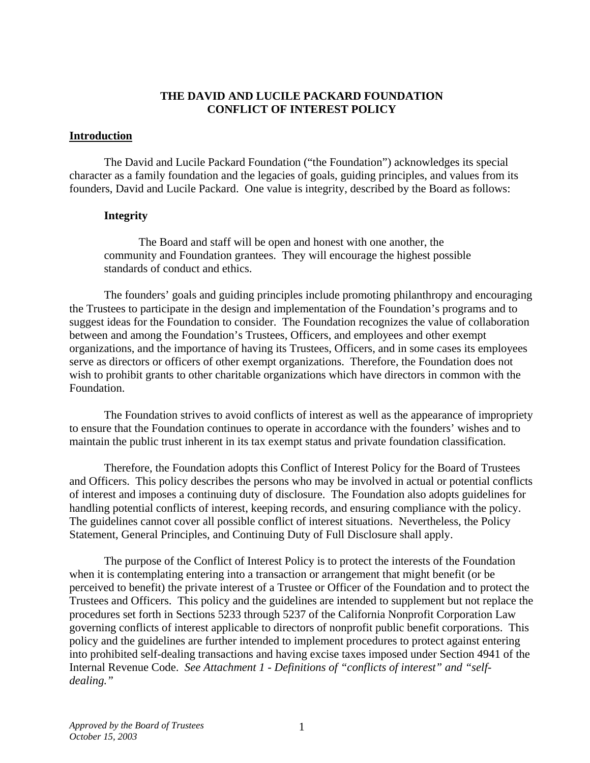#### **THE DAVID AND LUCILE PACKARD FOUNDATION CONFLICT OF INTEREST POLICY**

#### **Introduction**

 The David and Lucile Packard Foundation ("the Foundation") acknowledges its special character as a family foundation and the legacies of goals, guiding principles, and values from its founders, David and Lucile Packard. One value is integrity, described by the Board as follows:

#### **Integrity**

 The Board and staff will be open and honest with one another, the community and Foundation grantees. They will encourage the highest possible standards of conduct and ethics.

 The founders' goals and guiding principles include promoting philanthropy and encouraging the Trustees to participate in the design and implementation of the Foundation's programs and to suggest ideas for the Foundation to consider. The Foundation recognizes the value of collaboration between and among the Foundation's Trustees, Officers, and employees and other exempt organizations, and the importance of having its Trustees, Officers, and in some cases its employees serve as directors or officers of other exempt organizations. Therefore, the Foundation does not wish to prohibit grants to other charitable organizations which have directors in common with the Foundation.

 The Foundation strives to avoid conflicts of interest as well as the appearance of impropriety to ensure that the Foundation continues to operate in accordance with the founders' wishes and to maintain the public trust inherent in its tax exempt status and private foundation classification.

 Therefore, the Foundation adopts this Conflict of Interest Policy for the Board of Trustees and Officers. This policy describes the persons who may be involved in actual or potential conflicts of interest and imposes a continuing duty of disclosure. The Foundation also adopts guidelines for handling potential conflicts of interest, keeping records, and ensuring compliance with the policy. The guidelines cannot cover all possible conflict of interest situations. Nevertheless, the Policy Statement, General Principles, and Continuing Duty of Full Disclosure shall apply.

 The purpose of the Conflict of Interest Policy is to protect the interests of the Foundation when it is contemplating entering into a transaction or arrangement that might benefit (or be perceived to benefit) the private interest of a Trustee or Officer of the Foundation and to protect the Trustees and Officers. This policy and the guidelines are intended to supplement but not replace the procedures set forth in Sections 5233 through 5237 of the California Nonprofit Corporation Law governing conflicts of interest applicable to directors of nonprofit public benefit corporations. This policy and the guidelines are further intended to implement procedures to protect against entering into prohibited self-dealing transactions and having excise taxes imposed under Section 4941 of the Internal Revenue Code. *See Attachment 1 - Definitions of "conflicts of interest" and "selfdealing."*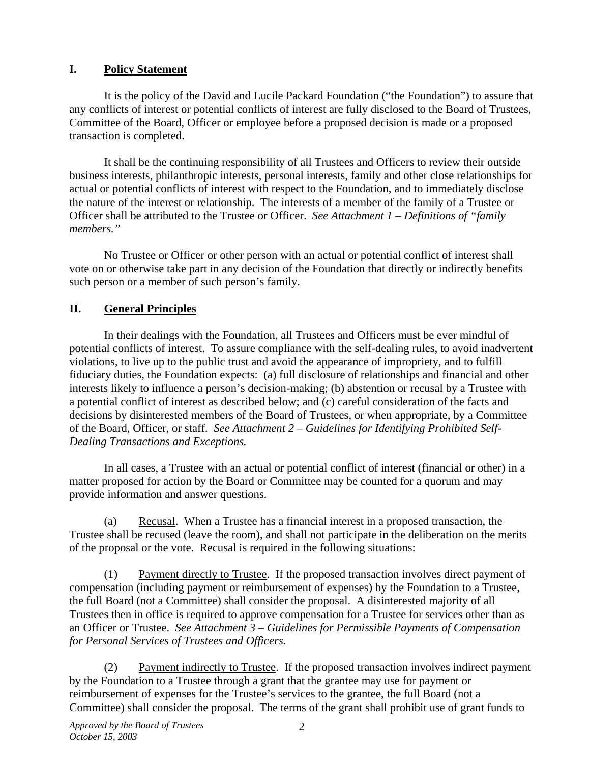# **I. Policy Statement**

 It is the policy of the David and Lucile Packard Foundation ("the Foundation") to assure that any conflicts of interest or potential conflicts of interest are fully disclosed to the Board of Trustees, Committee of the Board, Officer or employee before a proposed decision is made or a proposed transaction is completed.

 It shall be the continuing responsibility of all Trustees and Officers to review their outside business interests, philanthropic interests, personal interests, family and other close relationships for actual or potential conflicts of interest with respect to the Foundation, and to immediately disclose the nature of the interest or relationship. The interests of a member of the family of a Trustee or Officer shall be attributed to the Trustee or Officer. *See Attachment 1 – Definitions of "family members."*

 No Trustee or Officer or other person with an actual or potential conflict of interest shall vote on or otherwise take part in any decision of the Foundation that directly or indirectly benefits such person or a member of such person's family.

# **II. General Principles**

 In their dealings with the Foundation, all Trustees and Officers must be ever mindful of potential conflicts of interest. To assure compliance with the self-dealing rules, to avoid inadvertent violations, to live up to the public trust and avoid the appearance of impropriety, and to fulfill fiduciary duties, the Foundation expects: (a) full disclosure of relationships and financial and other interests likely to influence a person's decision-making; (b) abstention or recusal by a Trustee with a potential conflict of interest as described below; and (c) careful consideration of the facts and decisions by disinterested members of the Board of Trustees, or when appropriate, by a Committee of the Board, Officer, or staff. *See Attachment 2 – Guidelines for Identifying Prohibited Self-Dealing Transactions and Exceptions.* 

 In all cases, a Trustee with an actual or potential conflict of interest (financial or other) in a matter proposed for action by the Board or Committee may be counted for a quorum and may provide information and answer questions.

 (a) Recusal. When a Trustee has a financial interest in a proposed transaction, the Trustee shall be recused (leave the room), and shall not participate in the deliberation on the merits of the proposal or the vote. Recusal is required in the following situations:

 (1) Payment directly to Trustee. If the proposed transaction involves direct payment of compensation (including payment or reimbursement of expenses) by the Foundation to a Trustee, the full Board (not a Committee) shall consider the proposal. A disinterested majority of all Trustees then in office is required to approve compensation for a Trustee for services other than as an Officer or Trustee. *See Attachment 3 – Guidelines for Permissible Payments of Compensation for Personal Services of Trustees and Officers.* 

 (2) Payment indirectly to Trustee. If the proposed transaction involves indirect payment by the Foundation to a Trustee through a grant that the grantee may use for payment or reimbursement of expenses for the Trustee's services to the grantee, the full Board (not a Committee) shall consider the proposal. The terms of the grant shall prohibit use of grant funds to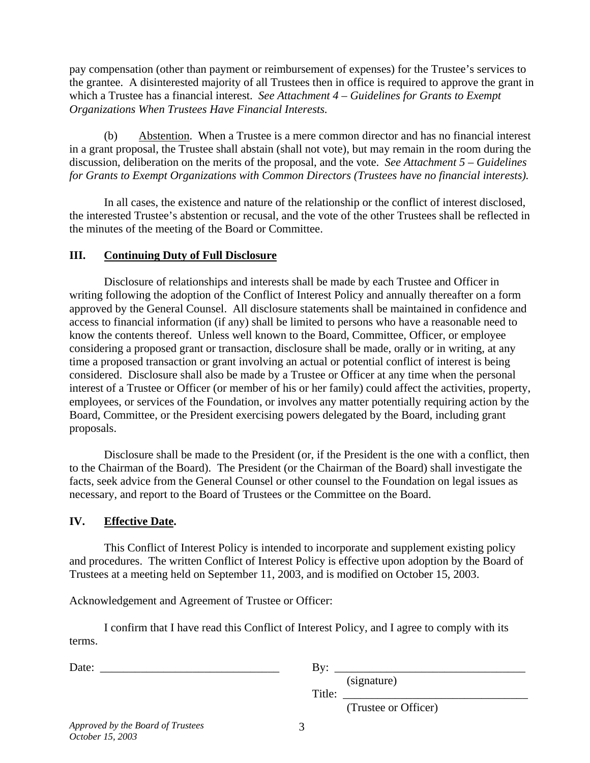pay compensation (other than payment or reimbursement of expenses) for the Trustee's services to the grantee. A disinterested majority of all Trustees then in office is required to approve the grant in which a Trustee has a financial interest. *See Attachment 4 – Guidelines for Grants to Exempt Organizations When Trustees Have Financial Interests.* 

 (b) Abstention. When a Trustee is a mere common director and has no financial interest in a grant proposal, the Trustee shall abstain (shall not vote), but may remain in the room during the discussion, deliberation on the merits of the proposal, and the vote. *See Attachment 5 – Guidelines for Grants to Exempt Organizations with Common Directors (Trustees have no financial interests).* 

 In all cases, the existence and nature of the relationship or the conflict of interest disclosed, the interested Trustee's abstention or recusal, and the vote of the other Trustees shall be reflected in the minutes of the meeting of the Board or Committee.

### **III. Continuing Duty of Full Disclosure**

 Disclosure of relationships and interests shall be made by each Trustee and Officer in writing following the adoption of the Conflict of Interest Policy and annually thereafter on a form approved by the General Counsel. All disclosure statements shall be maintained in confidence and access to financial information (if any) shall be limited to persons who have a reasonable need to know the contents thereof. Unless well known to the Board, Committee, Officer, or employee considering a proposed grant or transaction, disclosure shall be made, orally or in writing, at any time a proposed transaction or grant involving an actual or potential conflict of interest is being considered. Disclosure shall also be made by a Trustee or Officer at any time when the personal interest of a Trustee or Officer (or member of his or her family) could affect the activities, property, employees, or services of the Foundation, or involves any matter potentially requiring action by the Board, Committee, or the President exercising powers delegated by the Board, including grant proposals.

 Disclosure shall be made to the President (or, if the President is the one with a conflict, then to the Chairman of the Board). The President (or the Chairman of the Board) shall investigate the facts, seek advice from the General Counsel or other counsel to the Foundation on legal issues as necessary, and report to the Board of Trustees or the Committee on the Board.

## **IV. Effective Date.**

 This Conflict of Interest Policy is intended to incorporate and supplement existing policy and procedures. The written Conflict of Interest Policy is effective upon adoption by the Board of Trustees at a meeting held on September 11, 2003, and is modified on October 15, 2003.

Acknowledgement and Agreement of Trustee or Officer:

 I confirm that I have read this Conflict of Interest Policy, and I agree to comply with its terms.

| Date: | $\mathbf{B} \mathbf{v}$         |
|-------|---------------------------------|
|       | (signature)                     |
|       | Title:                          |
|       | $\sigma$ $\sim$ $\sim$ $\sigma$ |

(Trustee or Officer)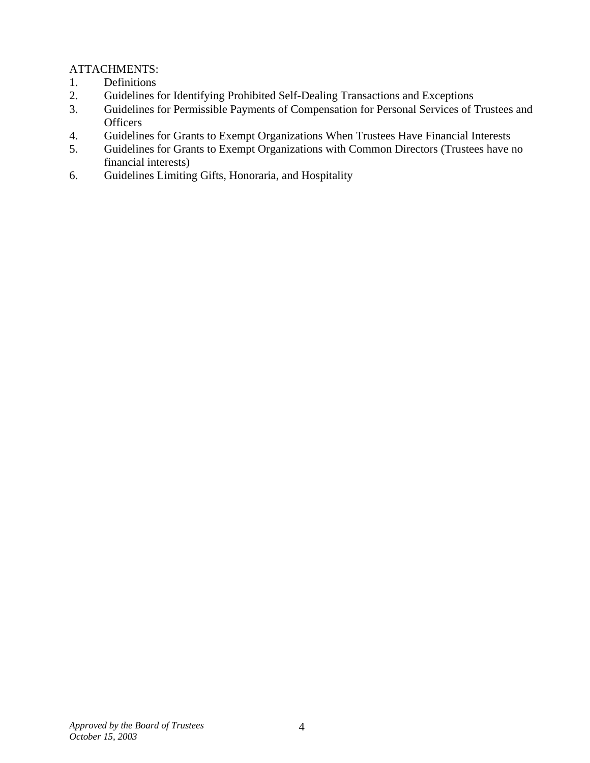# ATTACHMENTS:

- 1. Definitions
- 2. Guidelines for Identifying Prohibited Self-Dealing Transactions and Exceptions
- 3. Guidelines for Permissible Payments of Compensation for Personal Services of Trustees and **Officers**
- 4. Guidelines for Grants to Exempt Organizations When Trustees Have Financial Interests
- 5. Guidelines for Grants to Exempt Organizations with Common Directors (Trustees have no financial interests)
- 6. Guidelines Limiting Gifts, Honoraria, and Hospitality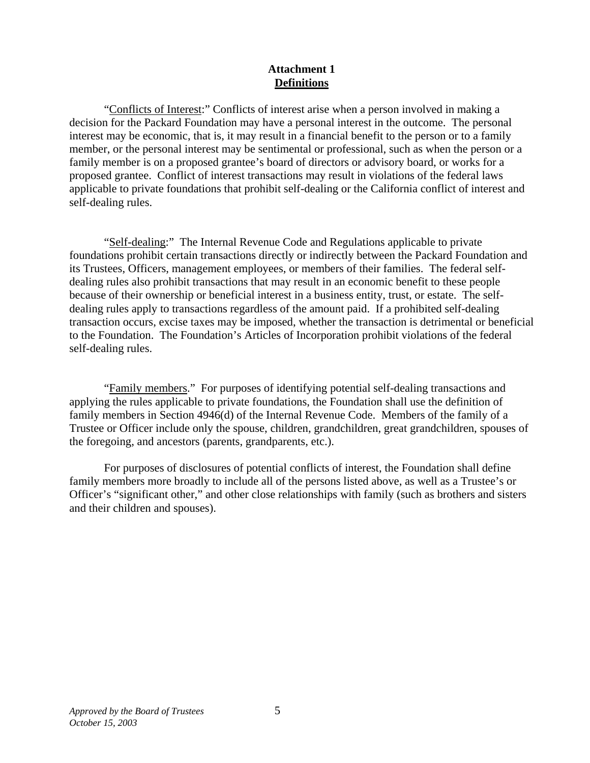### **Attachment 1 Definitions**

 "Conflicts of Interest:" Conflicts of interest arise when a person involved in making a decision for the Packard Foundation may have a personal interest in the outcome. The personal interest may be economic, that is, it may result in a financial benefit to the person or to a family member, or the personal interest may be sentimental or professional, such as when the person or a family member is on a proposed grantee's board of directors or advisory board, or works for a proposed grantee. Conflict of interest transactions may result in violations of the federal laws applicable to private foundations that prohibit self-dealing or the California conflict of interest and self-dealing rules.

 "Self-dealing:" The Internal Revenue Code and Regulations applicable to private foundations prohibit certain transactions directly or indirectly between the Packard Foundation and its Trustees, Officers, management employees, or members of their families. The federal selfdealing rules also prohibit transactions that may result in an economic benefit to these people because of their ownership or beneficial interest in a business entity, trust, or estate. The selfdealing rules apply to transactions regardless of the amount paid. If a prohibited self-dealing transaction occurs, excise taxes may be imposed, whether the transaction is detrimental or beneficial to the Foundation. The Foundation's Articles of Incorporation prohibit violations of the federal self-dealing rules.

 "Family members." For purposes of identifying potential self-dealing transactions and applying the rules applicable to private foundations, the Foundation shall use the definition of family members in Section 4946(d) of the Internal Revenue Code. Members of the family of a Trustee or Officer include only the spouse, children, grandchildren, great grandchildren, spouses of the foregoing, and ancestors (parents, grandparents, etc.).

 For purposes of disclosures of potential conflicts of interest, the Foundation shall define family members more broadly to include all of the persons listed above, as well as a Trustee's or Officer's "significant other," and other close relationships with family (such as brothers and sisters and their children and spouses).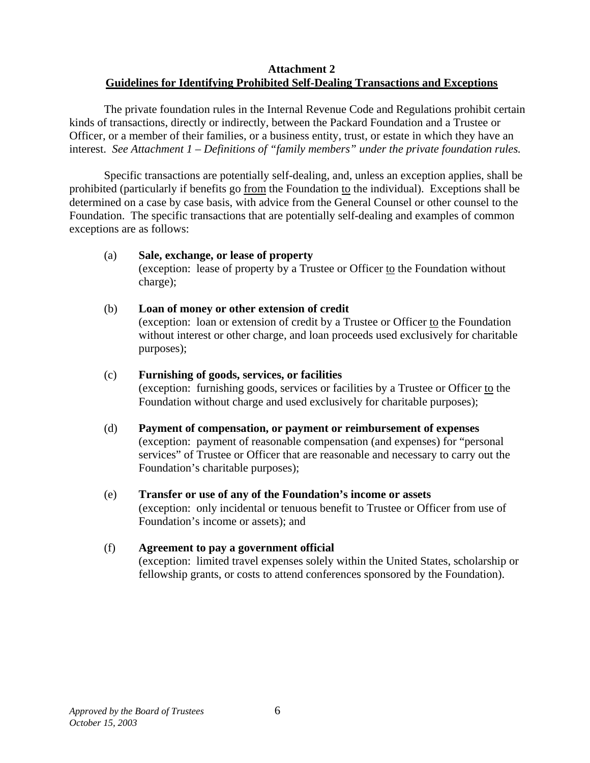### **Attachment 2 Guidelines for Identifying Prohibited Self-Dealing Transactions and Exceptions**

 The private foundation rules in the Internal Revenue Code and Regulations prohibit certain kinds of transactions, directly or indirectly, between the Packard Foundation and a Trustee or Officer, or a member of their families, or a business entity, trust, or estate in which they have an interest. *See Attachment 1 – Definitions of "family members" under the private foundation rules.* 

 Specific transactions are potentially self-dealing, and, unless an exception applies, shall be prohibited (particularly if benefits go from the Foundation to the individual). Exceptions shall be determined on a case by case basis, with advice from the General Counsel or other counsel to the Foundation. The specific transactions that are potentially self-dealing and examples of common exceptions are as follows:

#### (a) **Sale, exchange, or lease of property**

(exception: lease of property by a Trustee or Officer to the Foundation without charge);

 (b) **Loan of money or other extension of credit**  (exception: loan or extension of credit by a Trustee or Officer to the Foundation without interest or other charge, and loan proceeds used exclusively for charitable purposes);

# (c) **Furnishing of goods, services, or facilities**

(exception: furnishing goods, services or facilities by a Trustee or Officer to the Foundation without charge and used exclusively for charitable purposes);

- (d) **Payment of compensation, or payment or reimbursement of expenses**  (exception: payment of reasonable compensation (and expenses) for "personal services" of Trustee or Officer that are reasonable and necessary to carry out the Foundation's charitable purposes);
- (e) **Transfer or use of any of the Foundation's income or assets**  (exception: only incidental or tenuous benefit to Trustee or Officer from use of Foundation's income or assets); and

## (f) **Agreement to pay a government official**

(exception: limited travel expenses solely within the United States, scholarship or fellowship grants, or costs to attend conferences sponsored by the Foundation).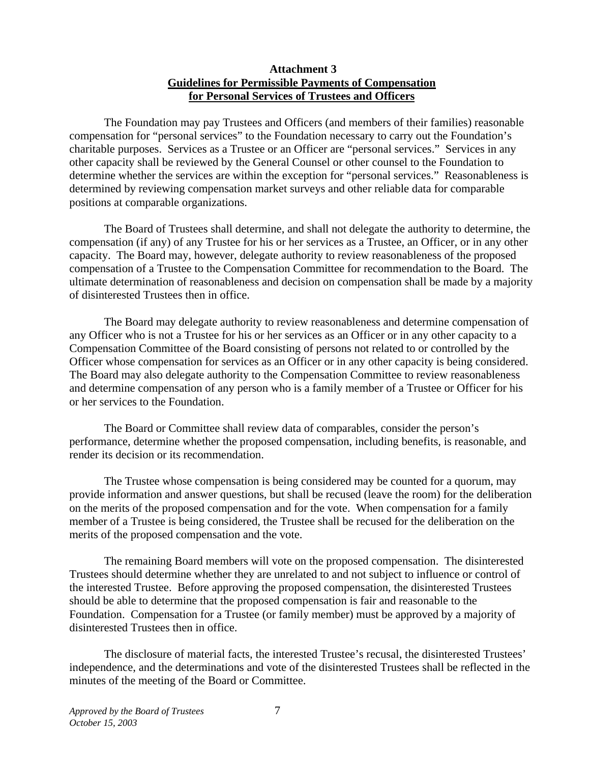### **Attachment 3 Guidelines for Permissible Payments of Compensation for Personal Services of Trustees and Officers**

 The Foundation may pay Trustees and Officers (and members of their families) reasonable compensation for "personal services" to the Foundation necessary to carry out the Foundation's charitable purposes. Services as a Trustee or an Officer are "personal services." Services in any other capacity shall be reviewed by the General Counsel or other counsel to the Foundation to determine whether the services are within the exception for "personal services." Reasonableness is determined by reviewing compensation market surveys and other reliable data for comparable positions at comparable organizations.

 The Board of Trustees shall determine, and shall not delegate the authority to determine, the compensation (if any) of any Trustee for his or her services as a Trustee, an Officer, or in any other capacity. The Board may, however, delegate authority to review reasonableness of the proposed compensation of a Trustee to the Compensation Committee for recommendation to the Board. The ultimate determination of reasonableness and decision on compensation shall be made by a majority of disinterested Trustees then in office.

 The Board may delegate authority to review reasonableness and determine compensation of any Officer who is not a Trustee for his or her services as an Officer or in any other capacity to a Compensation Committee of the Board consisting of persons not related to or controlled by the Officer whose compensation for services as an Officer or in any other capacity is being considered. The Board may also delegate authority to the Compensation Committee to review reasonableness and determine compensation of any person who is a family member of a Trustee or Officer for his or her services to the Foundation.

 The Board or Committee shall review data of comparables, consider the person's performance, determine whether the proposed compensation, including benefits, is reasonable, and render its decision or its recommendation.

 The Trustee whose compensation is being considered may be counted for a quorum, may provide information and answer questions, but shall be recused (leave the room) for the deliberation on the merits of the proposed compensation and for the vote. When compensation for a family member of a Trustee is being considered, the Trustee shall be recused for the deliberation on the merits of the proposed compensation and the vote.

 The remaining Board members will vote on the proposed compensation. The disinterested Trustees should determine whether they are unrelated to and not subject to influence or control of the interested Trustee. Before approving the proposed compensation, the disinterested Trustees should be able to determine that the proposed compensation is fair and reasonable to the Foundation. Compensation for a Trustee (or family member) must be approved by a majority of disinterested Trustees then in office.

 The disclosure of material facts, the interested Trustee's recusal, the disinterested Trustees' independence, and the determinations and vote of the disinterested Trustees shall be reflected in the minutes of the meeting of the Board or Committee.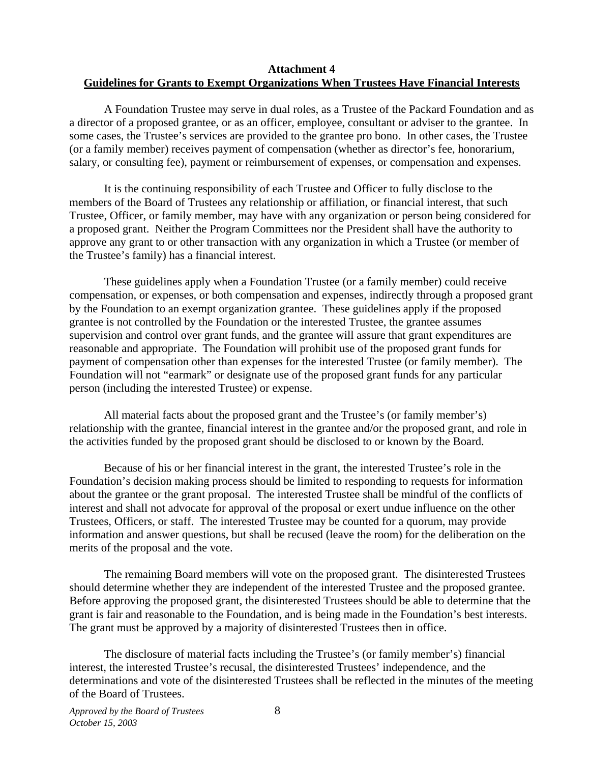#### **Attachment 4 Guidelines for Grants to Exempt Organizations When Trustees Have Financial Interests**

 A Foundation Trustee may serve in dual roles, as a Trustee of the Packard Foundation and as a director of a proposed grantee, or as an officer, employee, consultant or adviser to the grantee. In some cases, the Trustee's services are provided to the grantee pro bono. In other cases, the Trustee (or a family member) receives payment of compensation (whether as director's fee, honorarium, salary, or consulting fee), payment or reimbursement of expenses, or compensation and expenses.

 It is the continuing responsibility of each Trustee and Officer to fully disclose to the members of the Board of Trustees any relationship or affiliation, or financial interest, that such Trustee, Officer, or family member, may have with any organization or person being considered for a proposed grant. Neither the Program Committees nor the President shall have the authority to approve any grant to or other transaction with any organization in which a Trustee (or member of the Trustee's family) has a financial interest.

 These guidelines apply when a Foundation Trustee (or a family member) could receive compensation, or expenses, or both compensation and expenses, indirectly through a proposed grant by the Foundation to an exempt organization grantee. These guidelines apply if the proposed grantee is not controlled by the Foundation or the interested Trustee, the grantee assumes supervision and control over grant funds, and the grantee will assure that grant expenditures are reasonable and appropriate. The Foundation will prohibit use of the proposed grant funds for payment of compensation other than expenses for the interested Trustee (or family member). The Foundation will not "earmark" or designate use of the proposed grant funds for any particular person (including the interested Trustee) or expense.

 All material facts about the proposed grant and the Trustee's (or family member's) relationship with the grantee, financial interest in the grantee and/or the proposed grant, and role in the activities funded by the proposed grant should be disclosed to or known by the Board.

 Because of his or her financial interest in the grant, the interested Trustee's role in the Foundation's decision making process should be limited to responding to requests for information about the grantee or the grant proposal. The interested Trustee shall be mindful of the conflicts of interest and shall not advocate for approval of the proposal or exert undue influence on the other Trustees, Officers, or staff. The interested Trustee may be counted for a quorum, may provide information and answer questions, but shall be recused (leave the room) for the deliberation on the merits of the proposal and the vote.

 The remaining Board members will vote on the proposed grant. The disinterested Trustees should determine whether they are independent of the interested Trustee and the proposed grantee. Before approving the proposed grant, the disinterested Trustees should be able to determine that the grant is fair and reasonable to the Foundation, and is being made in the Foundation's best interests. The grant must be approved by a majority of disinterested Trustees then in office.

 The disclosure of material facts including the Trustee's (or family member's) financial interest, the interested Trustee's recusal, the disinterested Trustees' independence, and the determinations and vote of the disinterested Trustees shall be reflected in the minutes of the meeting of the Board of Trustees.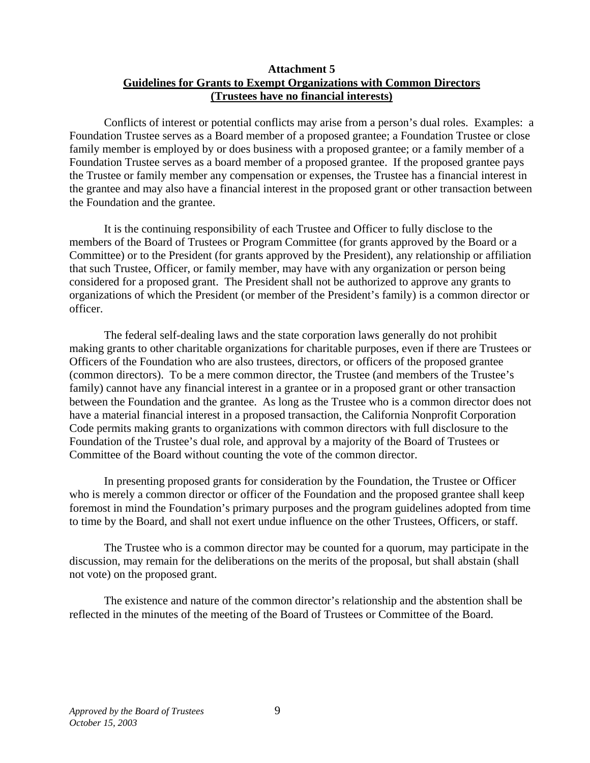### **Attachment 5 Guidelines for Grants to Exempt Organizations with Common Directors (Trustees have no financial interests)**

 Conflicts of interest or potential conflicts may arise from a person's dual roles. Examples: a Foundation Trustee serves as a Board member of a proposed grantee; a Foundation Trustee or close family member is employed by or does business with a proposed grantee; or a family member of a Foundation Trustee serves as a board member of a proposed grantee. If the proposed grantee pays the Trustee or family member any compensation or expenses, the Trustee has a financial interest in the grantee and may also have a financial interest in the proposed grant or other transaction between the Foundation and the grantee.

 It is the continuing responsibility of each Trustee and Officer to fully disclose to the members of the Board of Trustees or Program Committee (for grants approved by the Board or a Committee) or to the President (for grants approved by the President), any relationship or affiliation that such Trustee, Officer, or family member, may have with any organization or person being considered for a proposed grant. The President shall not be authorized to approve any grants to organizations of which the President (or member of the President's family) is a common director or officer.

 The federal self-dealing laws and the state corporation laws generally do not prohibit making grants to other charitable organizations for charitable purposes, even if there are Trustees or Officers of the Foundation who are also trustees, directors, or officers of the proposed grantee (common directors). To be a mere common director, the Trustee (and members of the Trustee's family) cannot have any financial interest in a grantee or in a proposed grant or other transaction between the Foundation and the grantee. As long as the Trustee who is a common director does not have a material financial interest in a proposed transaction, the California Nonprofit Corporation Code permits making grants to organizations with common directors with full disclosure to the Foundation of the Trustee's dual role, and approval by a majority of the Board of Trustees or Committee of the Board without counting the vote of the common director.

 In presenting proposed grants for consideration by the Foundation, the Trustee or Officer who is merely a common director or officer of the Foundation and the proposed grantee shall keep foremost in mind the Foundation's primary purposes and the program guidelines adopted from time to time by the Board, and shall not exert undue influence on the other Trustees, Officers, or staff.

 The Trustee who is a common director may be counted for a quorum, may participate in the discussion, may remain for the deliberations on the merits of the proposal, but shall abstain (shall not vote) on the proposed grant.

 The existence and nature of the common director's relationship and the abstention shall be reflected in the minutes of the meeting of the Board of Trustees or Committee of the Board.